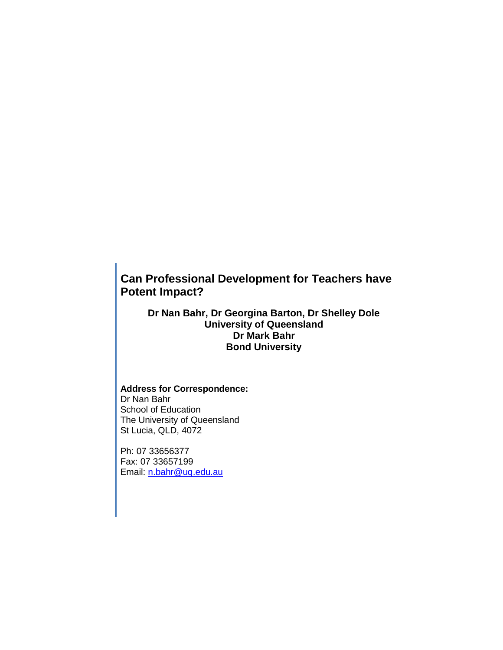# **Can Professional Development for Teachers have Potent Impact?**

**Dr Nan Bahr, Dr Georgina Barton, Dr Shelley Dole University of Queensland Dr Mark Bahr Bond University**

# **Address for Correspondence:**  Dr Nan Bahr School of Education

The University of Queensland St Lucia, QLD, 4072

Ph: 07 33656377 Fax: 07 33657199 Email: [n.bahr@uq.edu.au](mailto:n.bahr@uq.edu.au)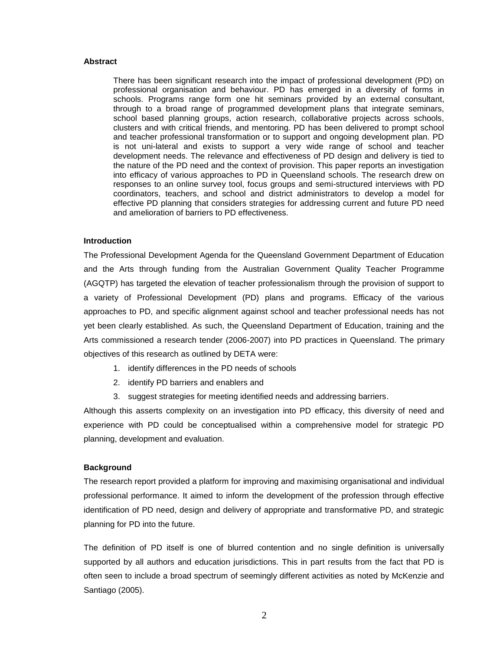#### **Abstract**

There has been significant research into the impact of professional development (PD) on professional organisation and behaviour. PD has emerged in a diversity of forms in schools. Programs range form one hit seminars provided by an external consultant, through to a broad range of programmed development plans that integrate seminars, school based planning groups, action research, collaborative projects across schools, clusters and with critical friends, and mentoring. PD has been delivered to prompt school and teacher professional transformation or to support and ongoing development plan. PD is not uni-lateral and exists to support a very wide range of school and teacher development needs. The relevance and effectiveness of PD design and delivery is tied to the nature of the PD need and the context of provision. This paper reports an investigation into efficacy of various approaches to PD in Queensland schools. The research drew on responses to an online survey tool, focus groups and semi-structured interviews with PD coordinators, teachers, and school and district administrators to develop a model for effective PD planning that considers strategies for addressing current and future PD need and amelioration of barriers to PD effectiveness.

#### **Introduction**

The Professional Development Agenda for the Queensland Government Department of Education and the Arts through funding from the Australian Government Quality Teacher Programme (AGQTP) has targeted the elevation of teacher professionalism through the provision of support to a variety of Professional Development (PD) plans and programs. Efficacy of the various approaches to PD, and specific alignment against school and teacher professional needs has not yet been clearly established. As such, the Queensland Department of Education, training and the Arts commissioned a research tender (2006-2007) into PD practices in Queensland. The primary objectives of this research as outlined by DETA were:

- 1. identify differences in the PD needs of schools
- 2. identify PD barriers and enablers and
- 3. suggest strategies for meeting identified needs and addressing barriers.

Although this asserts complexity on an investigation into PD efficacy, this diversity of need and experience with PD could be conceptualised within a comprehensive model for strategic PD planning, development and evaluation.

#### **Background**

The research report provided a platform for improving and maximising organisational and individual professional performance. It aimed to inform the development of the profession through effective identification of PD need, design and delivery of appropriate and transformative PD, and strategic planning for PD into the future.

The definition of PD itself is one of blurred contention and no single definition is universally supported by all authors and education jurisdictions. This in part results from the fact that PD is often seen to include a broad spectrum of seemingly different activities as noted by McKenzie and Santiago (2005).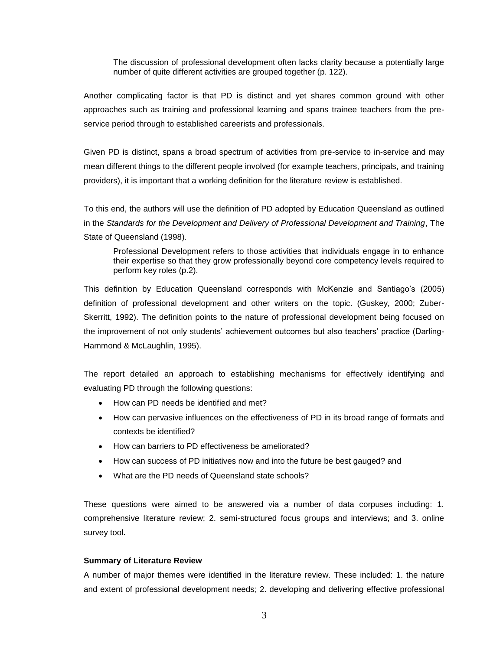The discussion of professional development often lacks clarity because a potentially large number of quite different activities are grouped together (p. 122).

Another complicating factor is that PD is distinct and yet shares common ground with other approaches such as training and professional learning and spans trainee teachers from the preservice period through to established careerists and professionals.

Given PD is distinct, spans a broad spectrum of activities from pre-service to in-service and may mean different things to the different people involved (for example teachers, principals, and training providers), it is important that a working definition for the literature review is established.

To this end, the authors will use the definition of PD adopted by Education Queensland as outlined in the *Standards for the Development and Delivery of Professional Development and Training*, The State of Queensland (1998).

Professional Development refers to those activities that individuals engage in to enhance their expertise so that they grow professionally beyond core competency levels required to perform key roles (p.2).

This definition by Education Queensland corresponds with McKenzie and Santiago's (2005) definition of professional development and other writers on the topic. (Guskey, 2000; Zuber-Skerritt, 1992). The definition points to the nature of professional development being focused on the improvement of not only students' achievement outcomes but also teachers' practice (Darling-Hammond & McLaughlin, 1995).

The report detailed an approach to establishing mechanisms for effectively identifying and evaluating PD through the following questions:

- How can PD needs be identified and met?
- How can pervasive influences on the effectiveness of PD in its broad range of formats and contexts be identified?
- How can barriers to PD effectiveness be ameliorated?
- How can success of PD initiatives now and into the future be best gauged? and
- What are the PD needs of Queensland state schools?

These questions were aimed to be answered via a number of data corpuses including: 1. comprehensive literature review; 2. semi-structured focus groups and interviews; and 3. online survey tool.

# **Summary of Literature Review**

A number of major themes were identified in the literature review. These included: 1. the nature and extent of professional development needs; 2. developing and delivering effective professional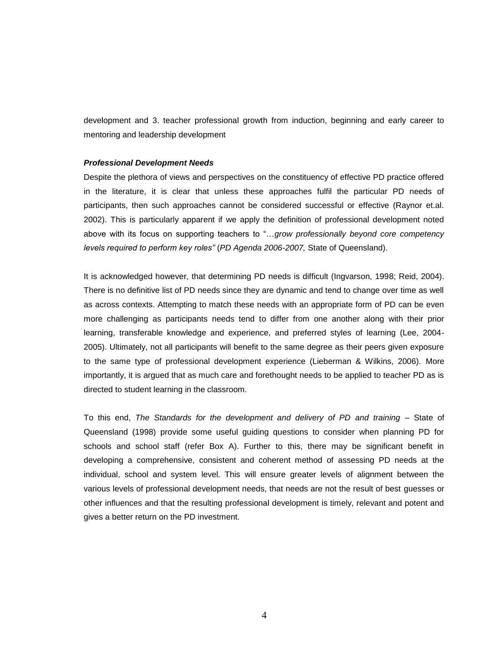development and 3. teacher professional growth from induction, beginning and early career to mentoring and leadership development

#### *Professional Development Needs*

Despite the plethora of views and perspectives on the constituency of effective PD practice offered in the literature, it is clear that unless these approaches fulfil the particular PD needs of participants, then such approaches cannot be considered successful or effective (Raynor et.al. 2002). This is particularly apparent if we apply the definition of professional development noted above with its focus on supporting teachers to "…*grow professionally beyond core competency levels required to perform key roles"* (*PD Agenda 2006-2007,* State of Queensland).

It is acknowledged however, that determining PD needs is difficult (Ingvarson, 1998; Reid, 2004). There is no definitive list of PD needs since they are dynamic and tend to change over time as well as across contexts. Attempting to match these needs with an appropriate form of PD can be even more challenging as participants needs tend to differ from one another along with their prior learning, transferable knowledge and experience, and preferred styles of learning (Lee, 2004- 2005). Ultimately, not all participants will benefit to the same degree as their peers given exposure to the same type of professional development experience (Lieberman & Wilkins, 2006). More importantly, it is argued that as much care and forethought needs to be applied to teacher PD as is directed to student learning in the classroom.

To this end, *The Standards for the development and delivery of PD and training* – State of Queensland (1998) provide some useful guiding questions to consider when planning PD for schools and school staff (refer Box A). Further to this, there may be significant benefit in developing a comprehensive, consistent and coherent method of assessing PD needs at the individual, school and system level. This will ensure greater levels of alignment between the various levels of professional development needs, that needs are not the result of best guesses or other influences and that the resulting professional development is timely, relevant and potent and gives a better return on the PD investment.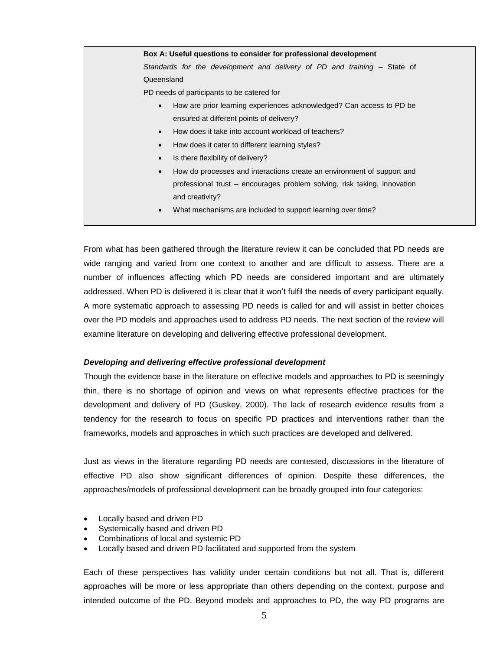**Box A: Useful questions to consider for professional development**  *Standards for the development and delivery of PD and training* – State of Queensland PD needs of participants to be catered for How are prior learning experiences acknowledged? Can access to PD be ensured at different points of delivery? How does it take into account workload of teachers? How does it cater to different learning styles? Is there flexibility of delivery? How do processes and interactions create an environment of support and

- professional trust encourages problem solving, risk taking, innovation and creativity?
- What mechanisms are included to support learning over time?

From what has been gathered through the literature review it can be concluded that PD needs are wide ranging and varied from one context to another and are difficult to assess. There are a number of influences affecting which PD needs are considered important and are ultimately addressed. When PD is delivered it is clear that it won't fulfil the needs of every participant equally. A more systematic approach to assessing PD needs is called for and will assist in better choices over the PD models and approaches used to address PD needs. The next section of the review will examine literature on developing and delivering effective professional development.

# *Developing and delivering effective professional development*

Though the evidence base in the literature on effective models and approaches to PD is seemingly thin, there is no shortage of opinion and views on what represents effective practices for the development and delivery of PD (Guskey, 2000). The lack of research evidence results from a tendency for the research to focus on specific PD practices and interventions rather than the frameworks, models and approaches in which such practices are developed and delivered.

Just as views in the literature regarding PD needs are contested, discussions in the literature of effective PD also show significant differences of opinion. Despite these differences, the approaches/models of professional development can be broadly grouped into four categories:

- Locally based and driven PD
- Systemically based and driven PD
- Combinations of local and systemic PD
- Locally based and driven PD facilitated and supported from the system

Each of these perspectives has validity under certain conditions but not all. That is, different approaches will be more or less appropriate than others depending on the context, purpose and intended outcome of the PD. Beyond models and approaches to PD, the way PD programs are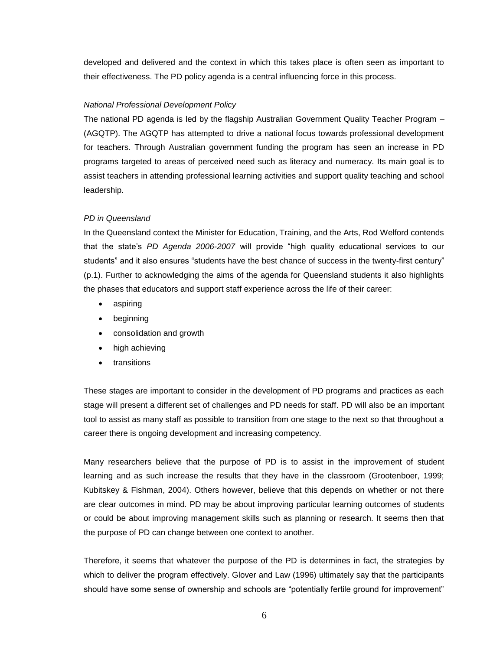developed and delivered and the context in which this takes place is often seen as important to their effectiveness. The PD policy agenda is a central influencing force in this process.

# *National Professional Development Policy*

The national PD agenda is led by the flagship Australian Government Quality Teacher Program – (AGQTP). The AGQTP has attempted to drive a national focus towards professional development for teachers. Through Australian government funding the program has seen an increase in PD programs targeted to areas of perceived need such as literacy and numeracy. Its main goal is to assist teachers in attending professional learning activities and support quality teaching and school leadership.

# *PD in Queensland*

In the Queensland context the Minister for Education, Training, and the Arts, Rod Welford contends that the state's *PD Agenda 2006-2007* will provide "high quality educational services to our students" and it also ensures "students have the best chance of success in the twenty-first century" (p.1). Further to acknowledging the aims of the agenda for Queensland students it also highlights the phases that educators and support staff experience across the life of their career:

- aspiring
- beginning
- consolidation and growth
- high achieving
- transitions

These stages are important to consider in the development of PD programs and practices as each stage will present a different set of challenges and PD needs for staff. PD will also be an important tool to assist as many staff as possible to transition from one stage to the next so that throughout a career there is ongoing development and increasing competency.

Many researchers believe that the purpose of PD is to assist in the improvement of student learning and as such increase the results that they have in the classroom (Grootenboer, 1999; Kubitskey & Fishman, 2004). Others however, believe that this depends on whether or not there are clear outcomes in mind. PD may be about improving particular learning outcomes of students or could be about improving management skills such as planning or research. It seems then that the purpose of PD can change between one context to another.

Therefore, it seems that whatever the purpose of the PD is determines in fact, the strategies by which to deliver the program effectively. Glover and Law (1996) ultimately say that the participants should have some sense of ownership and schools are "potentially fertile ground for improvement"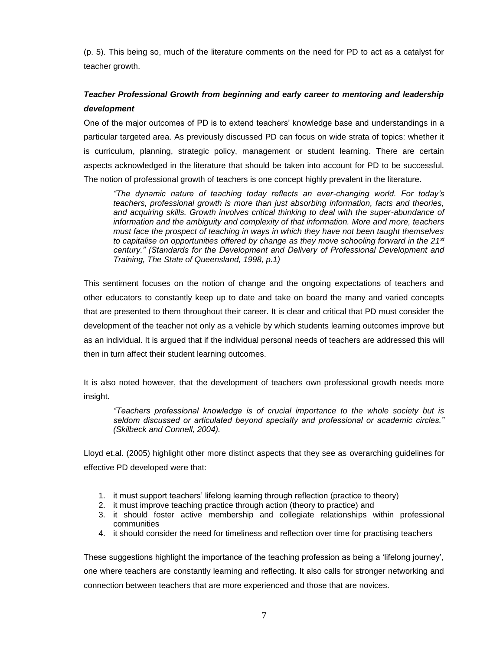(p. 5). This being so, much of the literature comments on the need for PD to act as a catalyst for teacher growth.

# *Teacher Professional Growth from beginning and early career to mentoring and leadership development*

One of the major outcomes of PD is to extend teachers' knowledge base and understandings in a particular targeted area. As previously discussed PD can focus on wide strata of topics: whether it is curriculum, planning, strategic policy, management or student learning. There are certain aspects acknowledged in the literature that should be taken into account for PD to be successful. The notion of professional growth of teachers is one concept highly prevalent in the literature.

*"The dynamic nature of teaching today reflects an ever-changing world. For today's teachers, professional growth is more than just absorbing information, facts and theories, and acquiring skills. Growth involves critical thinking to deal with the super-abundance of information and the ambiguity and complexity of that information. More and more, teachers must face the prospect of teaching in ways in which they have not been taught themselves to capitalise on opportunities offered by change as they move schooling forward in the 21st century." (Standards for the Development and Delivery of Professional Development and Training, The State of Queensland, 1998, p.1)*

This sentiment focuses on the notion of change and the ongoing expectations of teachers and other educators to constantly keep up to date and take on board the many and varied concepts that are presented to them throughout their career. It is clear and critical that PD must consider the development of the teacher not only as a vehicle by which students learning outcomes improve but as an individual. It is argued that if the individual personal needs of teachers are addressed this will then in turn affect their student learning outcomes.

It is also noted however, that the development of teachers own professional growth needs more insight.

*"Teachers professional knowledge is of crucial importance to the whole society but is seldom discussed or articulated beyond specialty and professional or academic circles." (Skilbeck and Connell, 2004).*

Lloyd et.al. (2005) highlight other more distinct aspects that they see as overarching guidelines for effective PD developed were that:

- 1. it must support teachers' lifelong learning through reflection (practice to theory)
- 2. it must improve teaching practice through action (theory to practice) and
- 3. it should foster active membership and collegiate relationships within professional communities
- 4. it should consider the need for timeliness and reflection over time for practising teachers

These suggestions highlight the importance of the teaching profession as being a 'lifelong journey', one where teachers are constantly learning and reflecting. It also calls for stronger networking and connection between teachers that are more experienced and those that are novices.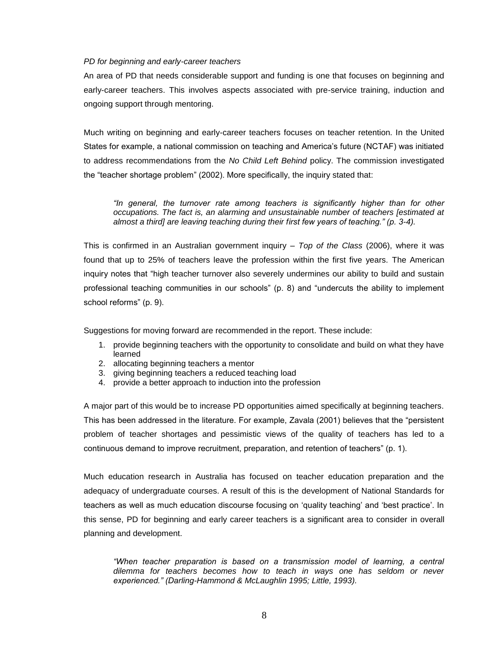#### *PD for beginning and early-career teachers*

An area of PD that needs considerable support and funding is one that focuses on beginning and early-career teachers. This involves aspects associated with pre-service training, induction and ongoing support through mentoring.

Much writing on beginning and early-career teachers focuses on teacher retention. In the United States for example, a national commission on teaching and America's future (NCTAF) was initiated to address recommendations from the *No Child Left Behind* policy. The commission investigated the "teacher shortage problem" (2002). More specifically, the inquiry stated that:

*"In general, the turnover rate among teachers is significantly higher than for other occupations. The fact is, an alarming and unsustainable number of teachers [estimated at almost a third] are leaving teaching during their first few years of teaching." (p. 3-4).*

This is confirmed in an Australian government inquiry – *Top of the Class* (2006), where it was found that up to 25% of teachers leave the profession within the first five years. The American inquiry notes that "high teacher turnover also severely undermines our ability to build and sustain professional teaching communities in our schools" (p. 8) and "undercuts the ability to implement school reforms" (p. 9).

Suggestions for moving forward are recommended in the report. These include:

- 1. provide beginning teachers with the opportunity to consolidate and build on what they have learned
- 2. allocating beginning teachers a mentor
- 3. giving beginning teachers a reduced teaching load
- 4. provide a better approach to induction into the profession

A major part of this would be to increase PD opportunities aimed specifically at beginning teachers. This has been addressed in the literature. For example, Zavala (2001) believes that the "persistent problem of teacher shortages and pessimistic views of the quality of teachers has led to a continuous demand to improve recruitment, preparation, and retention of teachers" (p. 1).

Much education research in Australia has focused on teacher education preparation and the adequacy of undergraduate courses. A result of this is the development of National Standards for teachers as well as much education discourse focusing on 'quality teaching' and 'best practice'. In this sense, PD for beginning and early career teachers is a significant area to consider in overall planning and development.

*"When teacher preparation is based on a transmission model of learning, a central dilemma for teachers becomes how to teach in ways one has seldom or never experienced." (Darling-Hammond & McLaughlin 1995; Little, 1993).*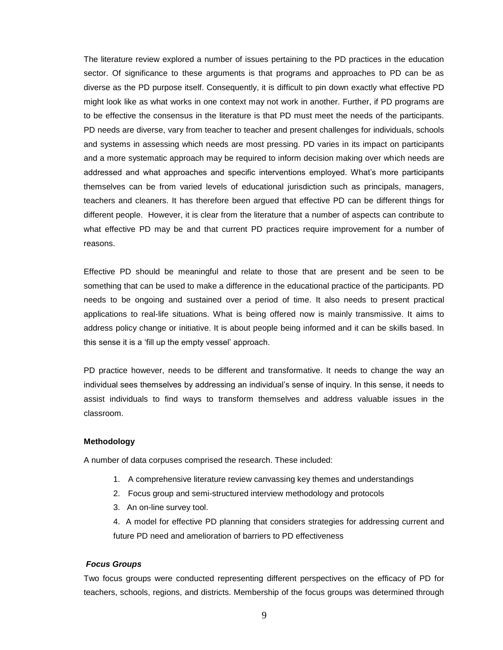The literature review explored a number of issues pertaining to the PD practices in the education sector. Of significance to these arguments is that programs and approaches to PD can be as diverse as the PD purpose itself. Consequently, it is difficult to pin down exactly what effective PD might look like as what works in one context may not work in another. Further, if PD programs are to be effective the consensus in the literature is that PD must meet the needs of the participants. PD needs are diverse, vary from teacher to teacher and present challenges for individuals, schools and systems in assessing which needs are most pressing. PD varies in its impact on participants and a more systematic approach may be required to inform decision making over which needs are addressed and what approaches and specific interventions employed. What's more participants themselves can be from varied levels of educational jurisdiction such as principals, managers, teachers and cleaners. It has therefore been argued that effective PD can be different things for different people. However, it is clear from the literature that a number of aspects can contribute to what effective PD may be and that current PD practices require improvement for a number of reasons.

Effective PD should be meaningful and relate to those that are present and be seen to be something that can be used to make a difference in the educational practice of the participants. PD needs to be ongoing and sustained over a period of time. It also needs to present practical applications to real-life situations. What is being offered now is mainly transmissive. It aims to address policy change or initiative. It is about people being informed and it can be skills based. In this sense it is a 'fill up the empty vessel' approach.

PD practice however, needs to be different and transformative. It needs to change the way an individual sees themselves by addressing an individual's sense of inquiry. In this sense, it needs to assist individuals to find ways to transform themselves and address valuable issues in the classroom.

#### **Methodology**

A number of data corpuses comprised the research. These included:

- 1. A comprehensive literature review canvassing key themes and understandings
- 2. Focus group and semi-structured interview methodology and protocols
- 3. An on-line survey tool.
- 4. A model for effective PD planning that considers strategies for addressing current and future PD need and amelioration of barriers to PD effectiveness

# *Focus Groups*

Two focus groups were conducted representing different perspectives on the efficacy of PD for teachers, schools, regions, and districts. Membership of the focus groups was determined through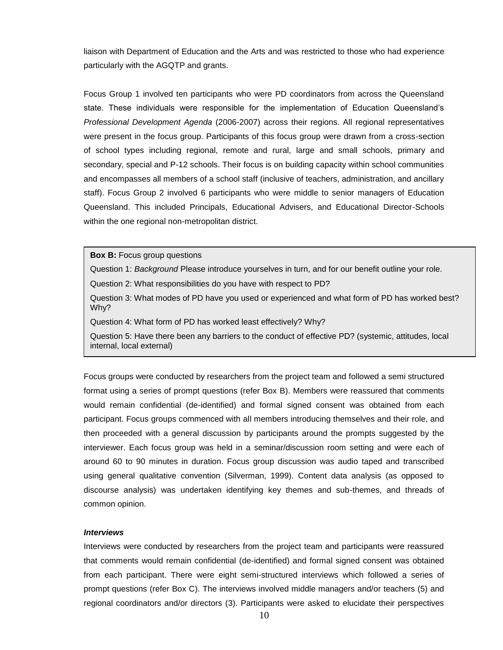liaison with Department of Education and the Arts and was restricted to those who had experience particularly with the AGQTP and grants.

Focus Group 1 involved ten participants who were PD coordinators from across the Queensland state. These individuals were responsible for the implementation of Education Queensland's *Professional Development Agenda* (2006-2007) across their regions. All regional representatives were present in the focus group. Participants of this focus group were drawn from a cross-section of school types including regional, remote and rural, large and small schools, primary and secondary, special and P-12 schools. Their focus is on building capacity within school communities and encompasses all members of a school staff (inclusive of teachers, administration, and ancillary staff). Focus Group 2 involved 6 participants who were middle to senior managers of Education Queensland. This included Principals, Educational Advisers, and Educational Director-Schools within the one regional non-metropolitan district.

**Box B:** Focus group questions

Question 1: *Background* Please introduce yourselves in turn, and for our benefit outline your role.

Question 2: What responsibilities do you have with respect to PD?

Question 3: What modes of PD have you used or experienced and what form of PD has worked best? Why?

Question 4: What form of PD has worked least effectively? Why?

Question 5: Have there been any barriers to the conduct of effective PD? (systemic, attitudes, local internal, local external)

Focus groups were conducted by researchers from the project team and followed a semi structured format using a series of prompt questions (refer Box B). Members were reassured that comments would remain confidential (de-identified) and formal signed consent was obtained from each participant. Focus groups commenced with all members introducing themselves and their role, and then proceeded with a general discussion by participants around the prompts suggested by the interviewer. Each focus group was held in a seminar/discussion room setting and were each of around 60 to 90 minutes in duration. Focus group discussion was audio taped and transcribed using general qualitative convention (Silverman, 1999). Content data analysis (as opposed to discourse analysis) was undertaken identifying key themes and sub-themes, and threads of common opinion.

#### *Interviews*

Interviews were conducted by researchers from the project team and participants were reassured that comments would remain confidential (de-identified) and formal signed consent was obtained from each participant. There were eight semi-structured interviews which followed a series of prompt questions (refer Box C). The interviews involved middle managers and/or teachers (5) and regional coordinators and/or directors (3). Participants were asked to elucidate their perspectives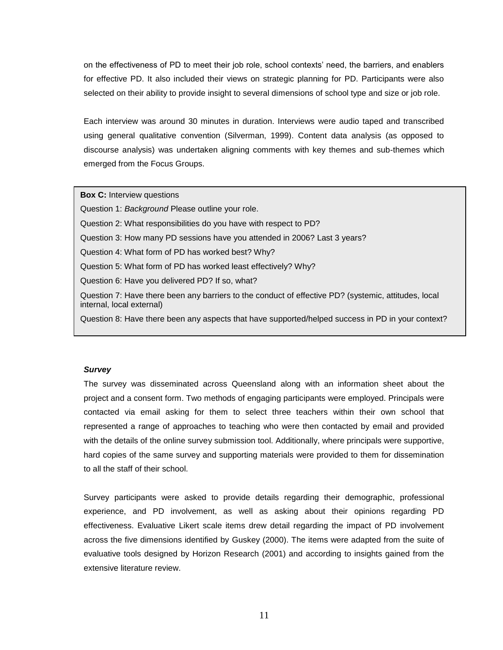on the effectiveness of PD to meet their job role, school contexts' need, the barriers, and enablers for effective PD. It also included their views on strategic planning for PD. Participants were also selected on their ability to provide insight to several dimensions of school type and size or job role.

Each interview was around 30 minutes in duration. Interviews were audio taped and transcribed using general qualitative convention (Silverman, 1999). Content data analysis (as opposed to discourse analysis) was undertaken aligning comments with key themes and sub-themes which emerged from the Focus Groups.

**Box C:** Interview questions

Question 1: *Background* Please outline your role.

Question 2: What responsibilities do you have with respect to PD?

Question 3: How many PD sessions have you attended in 2006? Last 3 years?

Question 4: What form of PD has worked best? Why?

Question 5: What form of PD has worked least effectively? Why?

Question 6: Have you delivered PD? If so, what?

Question 7: Have there been any barriers to the conduct of effective PD? (systemic, attitudes, local internal, local external)

Question 8: Have there been any aspects that have supported/helped success in PD in your context?

# *Survey*

The survey was disseminated across Queensland along with an information sheet about the project and a consent form. Two methods of engaging participants were employed. Principals were contacted via email asking for them to select three teachers within their own school that represented a range of approaches to teaching who were then contacted by email and provided with the details of the online survey submission tool. Additionally, where principals were supportive, hard copies of the same survey and supporting materials were provided to them for dissemination to all the staff of their school.

Survey participants were asked to provide details regarding their demographic, professional experience, and PD involvement, as well as asking about their opinions regarding PD effectiveness. Evaluative Likert scale items drew detail regarding the impact of PD involvement across the five dimensions identified by Guskey (2000). The items were adapted from the suite of evaluative tools designed by Horizon Research (2001) and according to insights gained from the extensive literature review.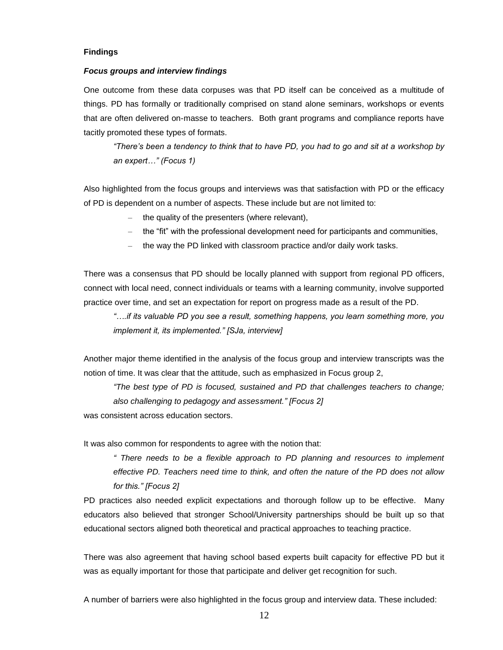#### **Findings**

#### *Focus groups and interview findings*

One outcome from these data corpuses was that PD itself can be conceived as a multitude of things. PD has formally or traditionally comprised on stand alone seminars, workshops or events that are often delivered on-masse to teachers. Both grant programs and compliance reports have tacitly promoted these types of formats.

*"There's been a tendency to think that to have PD, you had to go and sit at a workshop by an expert…" (Focus 1)*

Also highlighted from the focus groups and interviews was that satisfaction with PD or the efficacy of PD is dependent on a number of aspects. These include but are not limited to:

- the quality of the presenters (where relevant),
- the "fit" with the professional development need for participants and communities,
- the way the PD linked with classroom practice and/or daily work tasks.

There was a consensus that PD should be locally planned with support from regional PD officers, connect with local need, connect individuals or teams with a learning community, involve supported practice over time, and set an expectation for report on progress made as a result of the PD.

*"….if its valuable PD you see a result, something happens, you learn something more, you implement it, its implemented." [SJa, interview]*

Another major theme identified in the analysis of the focus group and interview transcripts was the notion of time. It was clear that the attitude, such as emphasized in Focus group 2,

*"The best type of PD is focused, sustained and PD that challenges teachers to change; also challenging to pedagogy and assessment." [Focus 2]* was consistent across education sectors.

It was also common for respondents to agree with the notion that:

*" There needs to be a flexible approach to PD planning and resources to implement effective PD. Teachers need time to think, and often the nature of the PD does not allow for this." [Focus 2]*

PD practices also needed explicit expectations and thorough follow up to be effective. Many educators also believed that stronger School/University partnerships should be built up so that educational sectors aligned both theoretical and practical approaches to teaching practice.

There was also agreement that having school based experts built capacity for effective PD but it was as equally important for those that participate and deliver get recognition for such.

A number of barriers were also highlighted in the focus group and interview data. These included: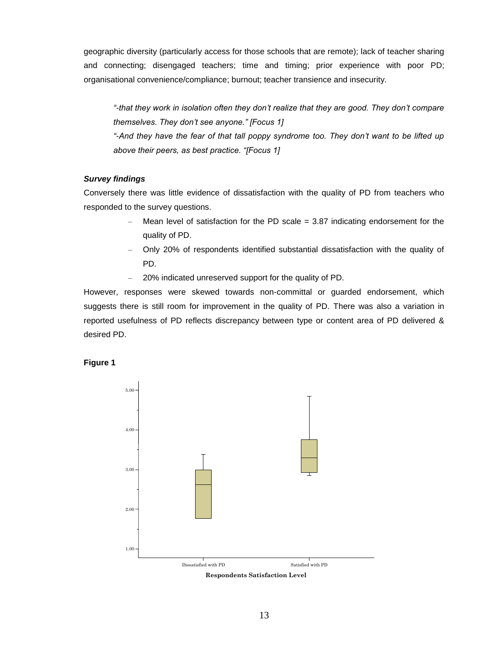geographic diversity (particularly access for those schools that are remote); lack of teacher sharing and connecting; disengaged teachers; time and timing; prior experience with poor PD; organisational convenience/compliance; burnout; teacher transience and insecurity.

*"-that they work in isolation often they don't realize that they are good. They don't compare themselves. They don't see anyone." [Focus 1] "-And they have the fear of that tall poppy syndrome too. They don't want to be lifted up above their peers, as best practice. "[Focus 1]*

# *Survey findings*

Conversely there was little evidence of dissatisfaction with the quality of PD from teachers who responded to the survey questions.

- Mean level of satisfaction for the PD scale  $= 3.87$  indicating endorsement for the quality of PD.
- Only 20% of respondents identified substantial dissatisfaction with the quality of PD.
- 20% indicated unreserved support for the quality of PD.

However, responses were skewed towards non-committal or guarded endorsement, which suggests there is still room for improvement in the quality of PD. There was also a variation in reported usefulness of PD reflects discrepancy between type or content area of PD delivered & desired PD.



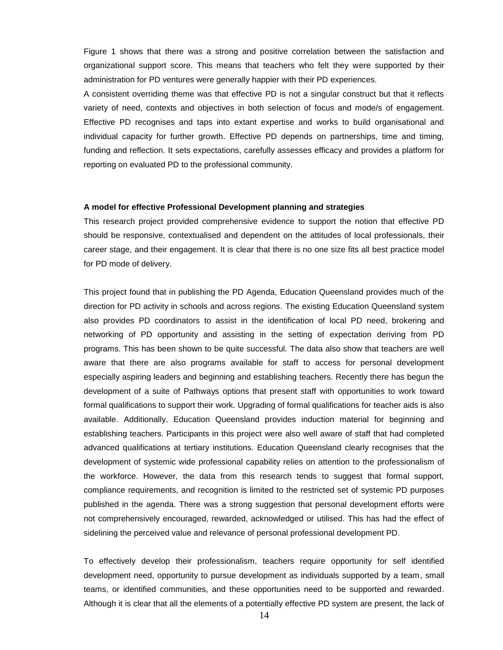Figure 1 shows that there was a strong and positive correlation between the satisfaction and organizational support score. This means that teachers who felt they were supported by their administration for PD ventures were generally happier with their PD experiences.

A consistent overriding theme was that effective PD is not a singular construct but that it reflects variety of need, contexts and objectives in both selection of focus and mode/s of engagement. Effective PD recognises and taps into extant expertise and works to build organisational and individual capacity for further growth. Effective PD depends on partnerships, time and timing, funding and reflection. It sets expectations, carefully assesses efficacy and provides a platform for reporting on evaluated PD to the professional community.

#### **A model for effective Professional Development planning and strategies**

This research project provided comprehensive evidence to support the notion that effective PD should be responsive, contextualised and dependent on the attitudes of local professionals, their career stage, and their engagement. It is clear that there is no one size fits all best practice model for PD mode of delivery.

This project found that in publishing the PD Agenda, Education Queensland provides much of the direction for PD activity in schools and across regions. The existing Education Queensland system also provides PD coordinators to assist in the identification of local PD need, brokering and networking of PD opportunity and assisting in the setting of expectation deriving from PD programs. This has been shown to be quite successful. The data also show that teachers are well aware that there are also programs available for staff to access for personal development especially aspiring leaders and beginning and establishing teachers. Recently there has begun the development of a suite of Pathways options that present staff with opportunities to work toward formal qualifications to support their work. Upgrading of formal qualifications for teacher aids is also available. Additionally, Education Queensland provides induction material for beginning and establishing teachers. Participants in this project were also well aware of staff that had completed advanced qualifications at tertiary institutions. Education Queensland clearly recognises that the development of systemic wide professional capability relies on attention to the professionalism of the workforce. However, the data from this research tends to suggest that formal support, compliance requirements, and recognition is limited to the restricted set of systemic PD purposes published in the agenda. There was a strong suggestion that personal development efforts were not comprehensively encouraged, rewarded, acknowledged or utilised. This has had the effect of sidelining the perceived value and relevance of personal professional development PD.

To effectively develop their professionalism, teachers require opportunity for self identified development need, opportunity to pursue development as individuals supported by a team, small teams, or identified communities, and these opportunities need to be supported and rewarded. Although it is clear that all the elements of a potentially effective PD system are present, the lack of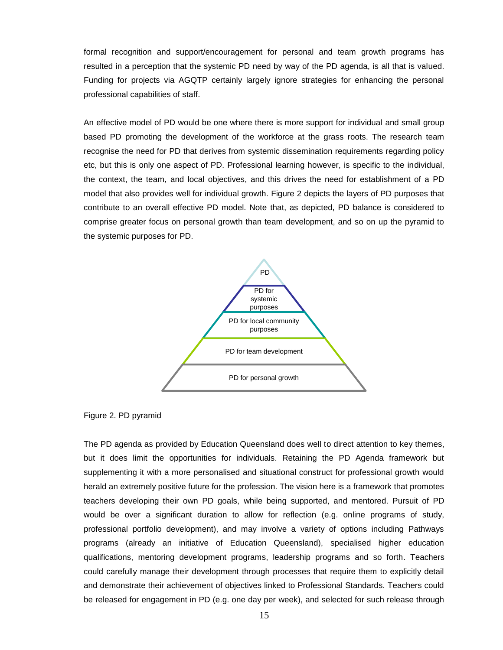formal recognition and support/encouragement for personal and team growth programs has resulted in a perception that the systemic PD need by way of the PD agenda, is all that is valued. Funding for projects via AGQTP certainly largely ignore strategies for enhancing the personal professional capabilities of staff.

An effective model of PD would be one where there is more support for individual and small group based PD promoting the development of the workforce at the grass roots. The research team recognise the need for PD that derives from systemic dissemination requirements regarding policy etc, but this is only one aspect of PD. Professional learning however, is specific to the individual, the context, the team, and local objectives, and this drives the need for establishment of a PD model that also provides well for individual growth. Figure 2 depicts the layers of PD purposes that contribute to an overall effective PD model. Note that, as depicted, PD balance is considered to comprise greater focus on personal growth than team development, and so on up the pyramid to the systemic purposes for PD.



Figure 2. PD pyramid

The PD agenda as provided by Education Queensland does well to direct attention to key themes, but it does limit the opportunities for individuals. Retaining the PD Agenda framework but supplementing it with a more personalised and situational construct for professional growth would herald an extremely positive future for the profession. The vision here is a framework that promotes teachers developing their own PD goals, while being supported, and mentored. Pursuit of PD would be over a significant duration to allow for reflection (e.g. online programs of study, professional portfolio development), and may involve a variety of options including Pathways programs (already an initiative of Education Queensland), specialised higher education qualifications, mentoring development programs, leadership programs and so forth. Teachers could carefully manage their development through processes that require them to explicitly detail and demonstrate their achievement of objectives linked to Professional Standards. Teachers could be released for engagement in PD (e.g. one day per week), and selected for such release through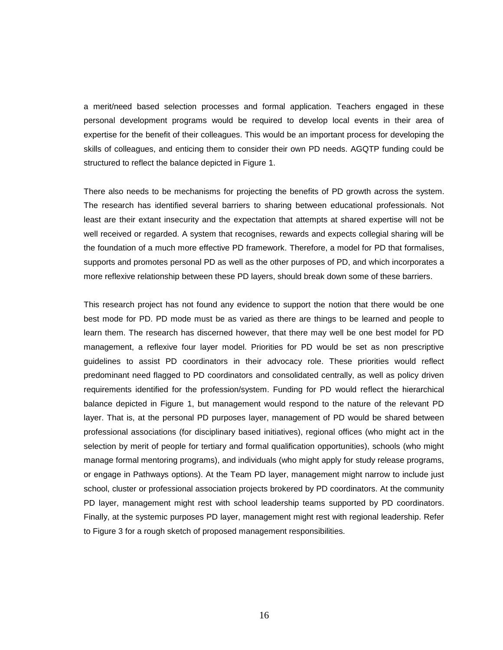a merit/need based selection processes and formal application. Teachers engaged in these personal development programs would be required to develop local events in their area of expertise for the benefit of their colleagues. This would be an important process for developing the skills of colleagues, and enticing them to consider their own PD needs. AGQTP funding could be structured to reflect the balance depicted in Figure 1.

There also needs to be mechanisms for projecting the benefits of PD growth across the system. The research has identified several barriers to sharing between educational professionals. Not least are their extant insecurity and the expectation that attempts at shared expertise will not be well received or regarded. A system that recognises, rewards and expects collegial sharing will be the foundation of a much more effective PD framework. Therefore, a model for PD that formalises, supports and promotes personal PD as well as the other purposes of PD, and which incorporates a more reflexive relationship between these PD layers, should break down some of these barriers.

This research project has not found any evidence to support the notion that there would be one best mode for PD. PD mode must be as varied as there are things to be learned and people to learn them. The research has discerned however, that there may well be one best model for PD management, a reflexive four layer model. Priorities for PD would be set as non prescriptive guidelines to assist PD coordinators in their advocacy role. These priorities would reflect predominant need flagged to PD coordinators and consolidated centrally, as well as policy driven requirements identified for the profession/system. Funding for PD would reflect the hierarchical balance depicted in Figure 1, but management would respond to the nature of the relevant PD layer. That is, at the personal PD purposes layer, management of PD would be shared between professional associations (for disciplinary based initiatives), regional offices (who might act in the selection by merit of people for tertiary and formal qualification opportunities), schools (who might manage formal mentoring programs), and individuals (who might apply for study release programs, or engage in Pathways options). At the Team PD layer, management might narrow to include just school, cluster or professional association projects brokered by PD coordinators. At the community PD layer, management might rest with school leadership teams supported by PD coordinators. Finally, at the systemic purposes PD layer, management might rest with regional leadership. Refer to Figure 3 for a rough sketch of proposed management responsibilities.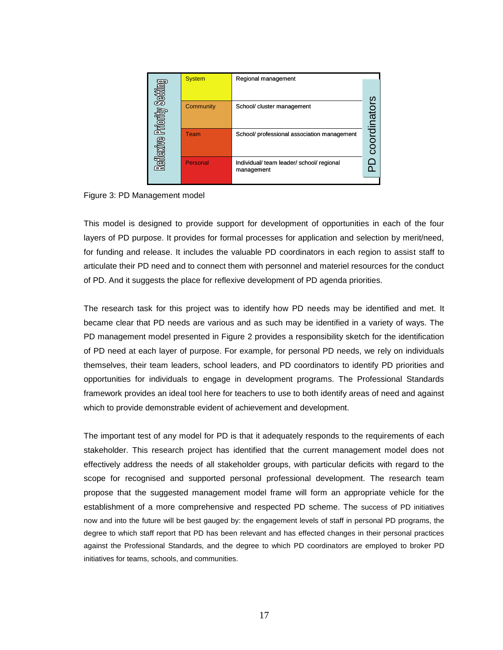| ĔΜ<br>Prioriky Sekti<br>a<br><b>Meilie</b> xi | <b>System</b> | Regional management                                  | S<br>nat<br>ㅎ |
|-----------------------------------------------|---------------|------------------------------------------------------|---------------|
|                                               | Community     | School/ cluster management                           |               |
|                                               | Team          | School/ professional association management          |               |
|                                               | Personal      | Individual/team leader/school/regional<br>management |               |

Figure 3: PD Management model

This model is designed to provide support for development of opportunities in each of the four layers of PD purpose. It provides for formal processes for application and selection by merit/need, for funding and release. It includes the valuable PD coordinators in each region to assist staff to articulate their PD need and to connect them with personnel and materiel resources for the conduct of PD. And it suggests the place for reflexive development of PD agenda priorities.

The research task for this project was to identify how PD needs may be identified and met. It became clear that PD needs are various and as such may be identified in a variety of ways. The PD management model presented in Figure 2 provides a responsibility sketch for the identification of PD need at each layer of purpose. For example, for personal PD needs, we rely on individuals themselves, their team leaders, school leaders, and PD coordinators to identify PD priorities and opportunities for individuals to engage in development programs. The Professional Standards framework provides an ideal tool here for teachers to use to both identify areas of need and against which to provide demonstrable evident of achievement and development.

The important test of any model for PD is that it adequately responds to the requirements of each stakeholder. This research project has identified that the current management model does not effectively address the needs of all stakeholder groups, with particular deficits with regard to the scope for recognised and supported personal professional development. The research team propose that the suggested management model frame will form an appropriate vehicle for the establishment of a more comprehensive and respected PD scheme. The success of PD initiatives now and into the future will be best gauged by: the engagement levels of staff in personal PD programs, the degree to which staff report that PD has been relevant and has effected changes in their personal practices against the Professional Standards, and the degree to which PD coordinators are employed to broker PD initiatives for teams, schools, and communities.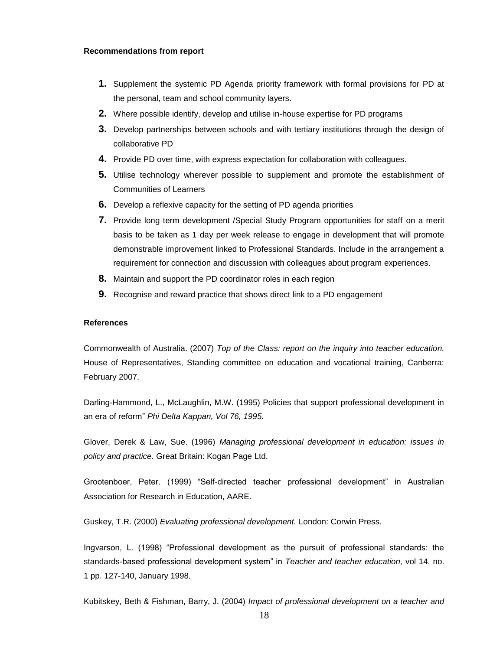#### **Recommendations from report**

- **1.** Supplement the systemic PD Agenda priority framework with formal provisions for PD at the personal, team and school community layers.
- **2.** Where possible identify, develop and utilise in-house expertise for PD programs
- **3.** Develop partnerships between schools and with tertiary institutions through the design of collaborative PD
- **4.** Provide PD over time, with express expectation for collaboration with colleagues.
- **5.** Utilise technology wherever possible to supplement and promote the establishment of Communities of Learners
- **6.** Develop a reflexive capacity for the setting of PD agenda priorities
- **7.** Provide long term development /Special Study Program opportunities for staff on a merit basis to be taken as 1 day per week release to engage in development that will promote demonstrable improvement linked to Professional Standards. Include in the arrangement a requirement for connection and discussion with colleagues about program experiences.
- **8.** Maintain and support the PD coordinator roles in each region
- **9.** Recognise and reward practice that shows direct link to a PD engagement

#### **References**

Commonwealth of Australia. (2007) *Top of the Class: report on the inquiry into teacher education.*  House of Representatives, Standing committee on education and vocational training, Canberra: February 2007.

Darling-Hammond, L., McLaughlin, M.W. (1995) Policies that support professional development in an era of reform" *Phi Delta Kappan, Vol 76, 1995.*

Glover, Derek & Law, Sue. (1996) *Managing professional development in education: issues in policy and practice.* Great Britain: Kogan Page Ltd.

Grootenboer, Peter. (1999) "Self-directed teacher professional development" in Australian Association for Research in Education, AARE.

Guskey, T.R. (2000) *Evaluating professional development.* London: Corwin Press.

Ingvarson, L. (1998) "Professional development as the pursuit of professional standards: the standards-based professional development system" in *Teacher and teacher education,* vol 14, no. 1 pp. 127-140, January 1998*.*

Kubitskey, Beth & Fishman, Barry, J. (2004) *Impact of professional development on a teacher and*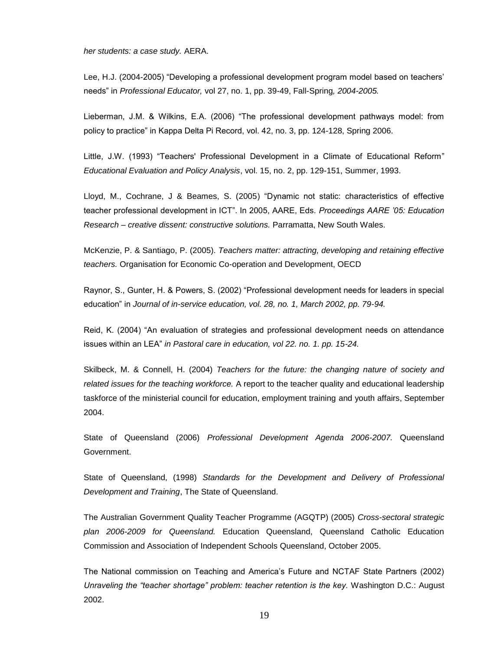*her students: a case study.* AERA.

Lee, H.J. (2004-2005) "Developing a professional development program model based on teachers' needs" in *Professional Educator,* vol 27, no. 1, pp. 39-49, Fall-Spring*, 2004-2005.*

Lieberman, J.M. & Wilkins, E.A. (2006) "The professional development pathways model: from policy to practice" in Kappa Delta Pi Record, vol. 42, no. 3, pp. 124-128, Spring 2006.

Little, J.W. (1993) "Teachers' Professional Development in a Climate of Educational Reform" *Educational Evaluation and Policy Analysis*, vol. 15, no. 2, pp. 129-151, Summer, 1993.

Lloyd, M., Cochrane, J & Beames, S. (2005) "Dynamic not static: characteristics of effective teacher professional development in ICT". In 2005, AARE, Eds. *Proceedings AARE '05: Education Research – creative dissent: constructive solutions.* Parramatta, New South Wales.

McKenzie, P. & Santiago, P. (2005). *Teachers matter: attracting, developing and retaining effective teachers.* Organisation for Economic Co-operation and Development, OECD

Raynor, S., Gunter, H. & Powers, S. (2002) "Professional development needs for leaders in special education" in *Journal of in-service education, vol. 28, no. 1, March 2002, pp. 79-94.*

Reid, K. (2004) "An evaluation of strategies and professional development needs on attendance issues within an LEA" *in Pastoral care in education, vol 22. no. 1. pp. 15-24.*

Skilbeck, M. & Connell, H. (2004) *Teachers for the future: the changing nature of society and related issues for the teaching workforce.* A report to the teacher quality and educational leadership taskforce of the ministerial council for education, employment training and youth affairs, September 2004.

State of Queensland (2006) *Professional Development Agenda 2006-2007.* Queensland Government.

State of Queensland, (1998) *Standards for the Development and Delivery of Professional Development and Training*, The State of Queensland.

The Australian Government Quality Teacher Programme (AGQTP) (2005) *Cross-sectoral strategic plan 2006-2009 for Queensland.* Education Queensland, Queensland Catholic Education Commission and Association of Independent Schools Queensland, October 2005.

The National commission on Teaching and America's Future and NCTAF State Partners (2002) *Unraveling the "teacher shortage" problem: teacher retention is the key.* Washington D.C.: August 2002.